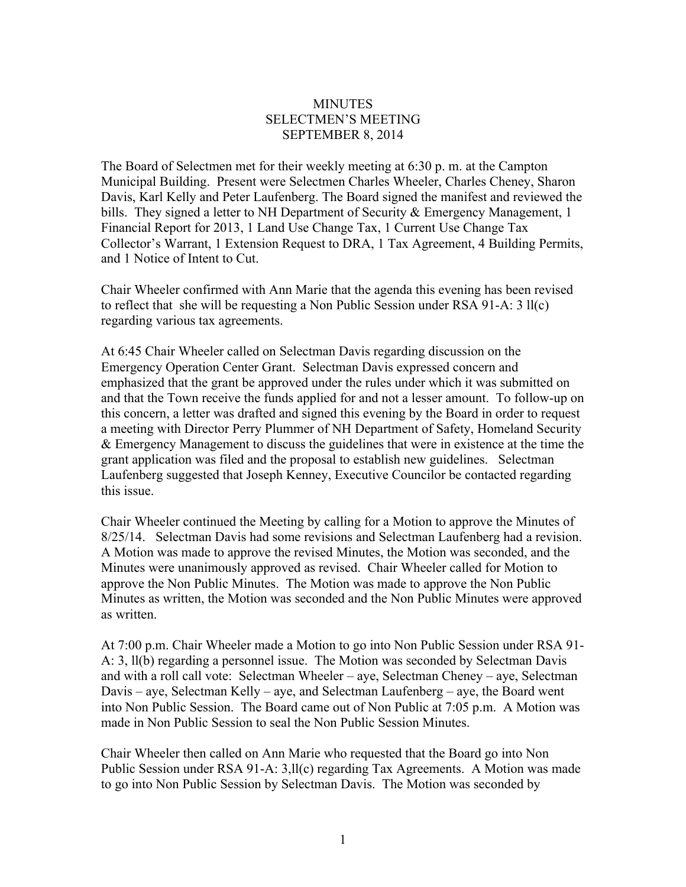## **MINUTES** SELECTMEN'S MEETING SEPTEMBER 8, 2014

The Board of Selectmen met for their weekly meeting at 6:30 p. m. at the Campton Municipal Building. Present were Selectmen Charles Wheeler, Charles Cheney, Sharon Davis, Karl Kelly and Peter Laufenberg. The Board signed the manifest and reviewed the bills. They signed a letter to NH Department of Security & Emergency Management, 1 Financial Report for 2013, 1 Land Use Change Tax, 1 Current Use Change Tax Collector's Warrant, 1 Extension Request to DRA, 1 Tax Agreement, 4 Building Permits, and 1 Notice of Intent to Cut.

Chair Wheeler confirmed with Ann Marie that the agenda this evening has been revised to reflect that she will be requesting a Non Public Session under RSA 91-A: 3 ll(c) regarding various tax agreements.

At 6:45 Chair Wheeler called on Selectman Davis regarding discussion on the Emergency Operation Center Grant. Selectman Davis expressed concern and emphasized that the grant be approved under the rules under which it was submitted on and that the Town receive the funds applied for and not a lesser amount. To follow-up on this concern, a letter was drafted and signed this evening by the Board in order to request a meeting with Director Perry Plummer of NH Department of Safety, Homeland Security & Emergency Management to discuss the guidelines that were in existence at the time the grant application was filed and the proposal to establish new guidelines. Selectman Laufenberg suggested that Joseph Kenney, Executive Councilor be contacted regarding this issue.

Chair Wheeler continued the Meeting by calling for a Motion to approve the Minutes of 8/25/14. Selectman Davis had some revisions and Selectman Laufenberg had a revision. A Motion was made to approve the revised Minutes, the Motion was seconded, and the Minutes were unanimously approved as revised. Chair Wheeler called for Motion to approve the Non Public Minutes. The Motion was made to approve the Non Public Minutes as written, the Motion was seconded and the Non Public Minutes were approved as written.

At 7:00 p.m. Chair Wheeler made a Motion to go into Non Public Session under RSA 91- A: 3, ll(b) regarding a personnel issue. The Motion was seconded by Selectman Davis and with a roll call vote: Selectman Wheeler – aye, Selectman Cheney – aye, Selectman Davis – aye, Selectman Kelly – aye, and Selectman Laufenberg – aye, the Board went into Non Public Session. The Board came out of Non Public at 7:05 p.m. A Motion was made in Non Public Session to seal the Non Public Session Minutes.

Chair Wheeler then called on Ann Marie who requested that the Board go into Non Public Session under RSA 91-A: 3,ll(c) regarding Tax Agreements. A Motion was made to go into Non Public Session by Selectman Davis. The Motion was seconded by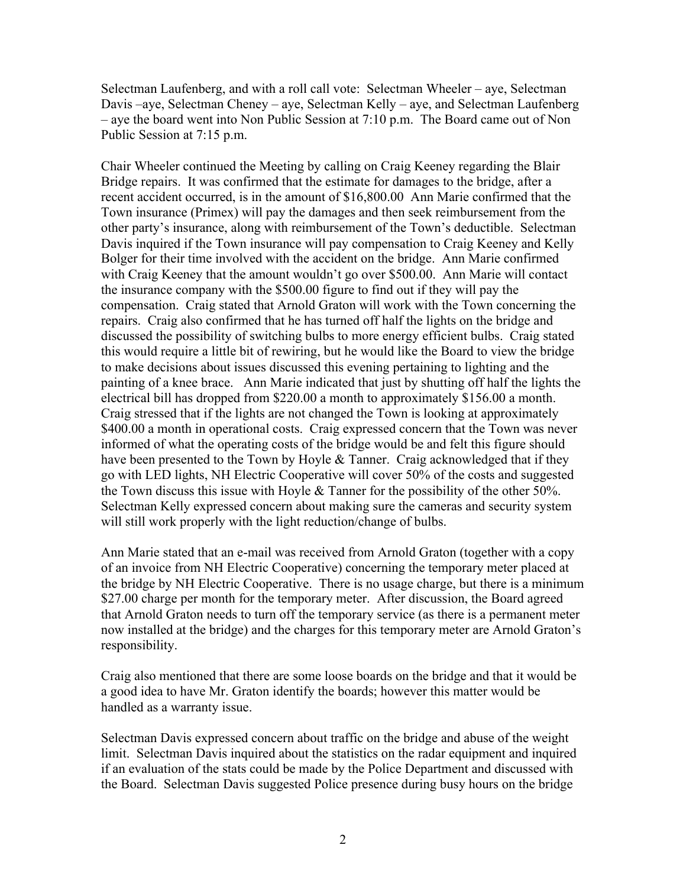Selectman Laufenberg, and with a roll call vote: Selectman Wheeler – aye, Selectman Davis –aye, Selectman Cheney – aye, Selectman Kelly – aye, and Selectman Laufenberg – aye the board went into Non Public Session at 7:10 p.m. The Board came out of Non Public Session at 7:15 p.m.

Chair Wheeler continued the Meeting by calling on Craig Keeney regarding the Blair Bridge repairs. It was confirmed that the estimate for damages to the bridge, after a recent accident occurred, is in the amount of \$16,800.00 Ann Marie confirmed that the Town insurance (Primex) will pay the damages and then seek reimbursement from the other party's insurance, along with reimbursement of the Town's deductible. Selectman Davis inquired if the Town insurance will pay compensation to Craig Keeney and Kelly Bolger for their time involved with the accident on the bridge. Ann Marie confirmed with Craig Keeney that the amount wouldn't go over \$500.00. Ann Marie will contact the insurance company with the \$500.00 figure to find out if they will pay the compensation. Craig stated that Arnold Graton will work with the Town concerning the repairs. Craig also confirmed that he has turned off half the lights on the bridge and discussed the possibility of switching bulbs to more energy efficient bulbs. Craig stated this would require a little bit of rewiring, but he would like the Board to view the bridge to make decisions about issues discussed this evening pertaining to lighting and the painting of a knee brace. Ann Marie indicated that just by shutting off half the lights the electrical bill has dropped from \$220.00 a month to approximately \$156.00 a month. Craig stressed that if the lights are not changed the Town is looking at approximately \$400.00 a month in operational costs. Craig expressed concern that the Town was never informed of what the operating costs of the bridge would be and felt this figure should have been presented to the Town by Hoyle & Tanner. Craig acknowledged that if they go with LED lights, NH Electric Cooperative will cover 50% of the costs and suggested the Town discuss this issue with Hoyle  $&$  Tanner for the possibility of the other 50%. Selectman Kelly expressed concern about making sure the cameras and security system will still work properly with the light reduction/change of bulbs.

Ann Marie stated that an e-mail was received from Arnold Graton (together with a copy of an invoice from NH Electric Cooperative) concerning the temporary meter placed at the bridge by NH Electric Cooperative. There is no usage charge, but there is a minimum \$27.00 charge per month for the temporary meter. After discussion, the Board agreed that Arnold Graton needs to turn off the temporary service (as there is a permanent meter now installed at the bridge) and the charges for this temporary meter are Arnold Graton's responsibility.

Craig also mentioned that there are some loose boards on the bridge and that it would be a good idea to have Mr. Graton identify the boards; however this matter would be handled as a warranty issue.

Selectman Davis expressed concern about traffic on the bridge and abuse of the weight limit. Selectman Davis inquired about the statistics on the radar equipment and inquired if an evaluation of the stats could be made by the Police Department and discussed with the Board. Selectman Davis suggested Police presence during busy hours on the bridge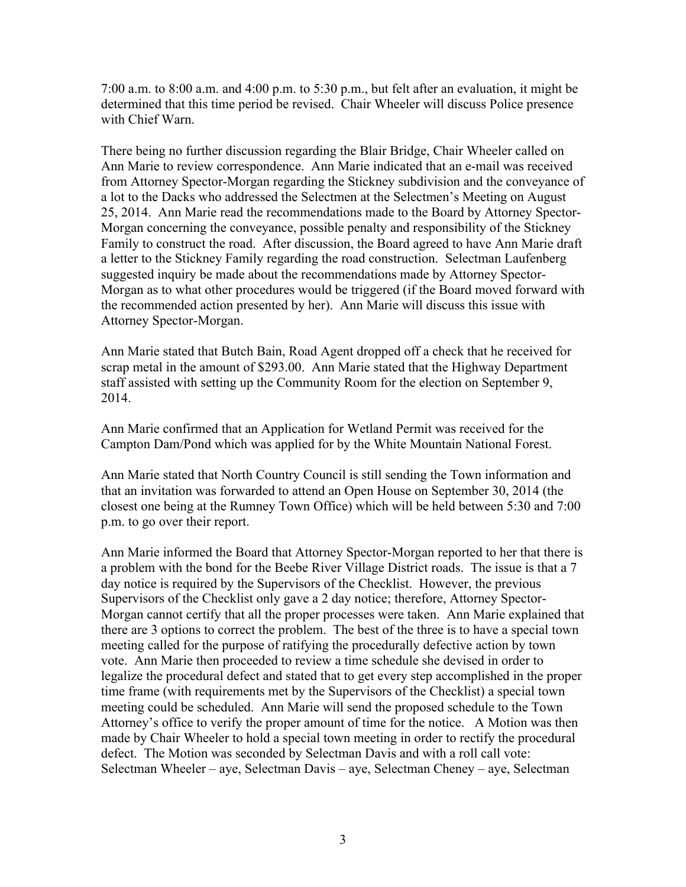7:00 a.m. to 8:00 a.m. and 4:00 p.m. to 5:30 p.m., but felt after an evaluation, it might be determined that this time period be revised. Chair Wheeler will discuss Police presence with Chief Warn.

There being no further discussion regarding the Blair Bridge, Chair Wheeler called on Ann Marie to review correspondence. Ann Marie indicated that an e-mail was received from Attorney Spector-Morgan regarding the Stickney subdivision and the conveyance of a lot to the Dacks who addressed the Selectmen at the Selectmen's Meeting on August 25, 2014. Ann Marie read the recommendations made to the Board by Attorney Spector-Morgan concerning the conveyance, possible penalty and responsibility of the Stickney Family to construct the road. After discussion, the Board agreed to have Ann Marie draft a letter to the Stickney Family regarding the road construction. Selectman Laufenberg suggested inquiry be made about the recommendations made by Attorney Spector-Morgan as to what other procedures would be triggered (if the Board moved forward with the recommended action presented by her). Ann Marie will discuss this issue with Attorney Spector-Morgan.

Ann Marie stated that Butch Bain, Road Agent dropped off a check that he received for scrap metal in the amount of \$293.00. Ann Marie stated that the Highway Department staff assisted with setting up the Community Room for the election on September 9, 2014.

Ann Marie confirmed that an Application for Wetland Permit was received for the Campton Dam/Pond which was applied for by the White Mountain National Forest.

Ann Marie stated that North Country Council is still sending the Town information and that an invitation was forwarded to attend an Open House on September 30, 2014 (the closest one being at the Rumney Town Office) which will be held between 5:30 and 7:00 p.m. to go over their report.

Ann Marie informed the Board that Attorney Spector-Morgan reported to her that there is a problem with the bond for the Beebe River Village District roads. The issue is that a 7 day notice is required by the Supervisors of the Checklist. However, the previous Supervisors of the Checklist only gave a 2 day notice; therefore, Attorney Spector-Morgan cannot certify that all the proper processes were taken. Ann Marie explained that there are 3 options to correct the problem. The best of the three is to have a special town meeting called for the purpose of ratifying the procedurally defective action by town vote. Ann Marie then proceeded to review a time schedule she devised in order to legalize the procedural defect and stated that to get every step accomplished in the proper time frame (with requirements met by the Supervisors of the Checklist) a special town meeting could be scheduled. Ann Marie will send the proposed schedule to the Town Attorney's office to verify the proper amount of time for the notice. A Motion was then made by Chair Wheeler to hold a special town meeting in order to rectify the procedural defect. The Motion was seconded by Selectman Davis and with a roll call vote: Selectman Wheeler – aye, Selectman Davis – aye, Selectman Cheney – aye, Selectman